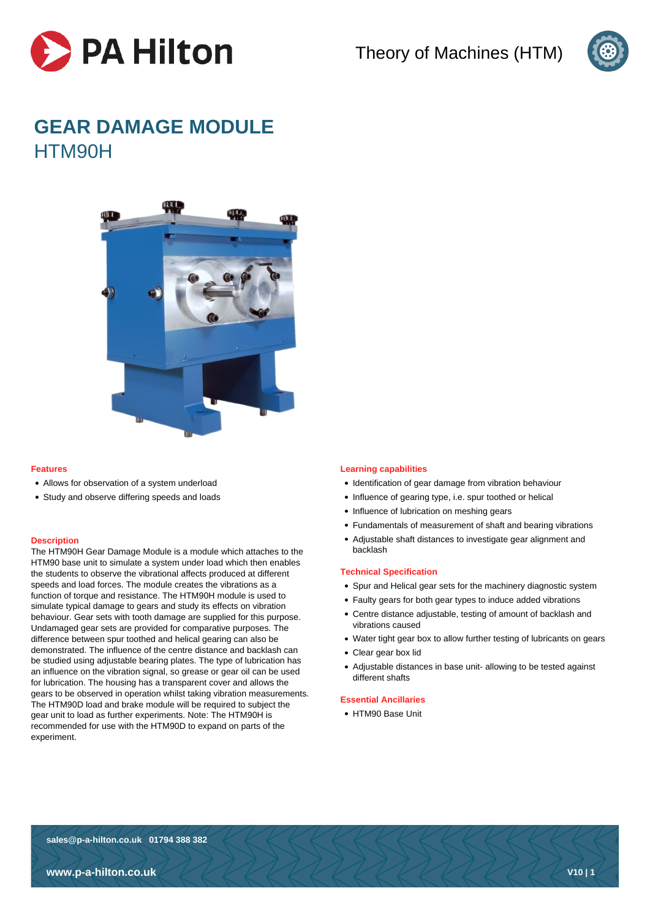



# **GEAR DAMAGE MODULE** HTM90H



## **Features**

- Allows for observation of a system underload
- Study and observe differing speeds and loads

## **Description**

The HTM90H Gear Damage Module is a module which attaches to the HTM90 base unit to simulate a system under load which then enables the students to observe the vibrational affects produced at different speeds and load forces. The module creates the vibrations as a function of torque and resistance. The HTM90H module is used to simulate typical damage to gears and study its effects on vibration behaviour. Gear sets with tooth damage are supplied for this purpose. Undamaged gear sets are provided for comparative purposes. The difference between spur toothed and helical gearing can also be demonstrated. The influence of the centre distance and backlash can be studied using adjustable bearing plates. The type of lubrication has an influence on the vibration signal, so grease or gear oil can be used for lubrication. The housing has a transparent cover and allows the gears to be observed in operation whilst taking vibration measurements. The HTM90D load and brake module will be required to subject the gear unit to load as further experiments. Note: The HTM90H is recommended for use with the HTM90D to expand on parts of the experiment.

## **Learning capabilities**

- Identification of gear damage from vibration behaviour
- Influence of gearing type, i.e. spur toothed or helical
- Influence of lubrication on meshing gears
- Fundamentals of measurement of shaft and bearing vibrations
- Adjustable shaft distances to investigate gear alignment and backlash

#### **Technical Specification**

- Spur and Helical gear sets for the machinery diagnostic system
- Faulty gears for both gear types to induce added vibrations
- Centre distance adjustable, testing of amount of backlash and vibrations caused
- Water tight gear box to allow further testing of lubricants on gears
- Clear gear box lid
- Adjustable distances in base unit- allowing to be tested against different shafts

# **Essential Ancillaries**

HTM90 Base Unit